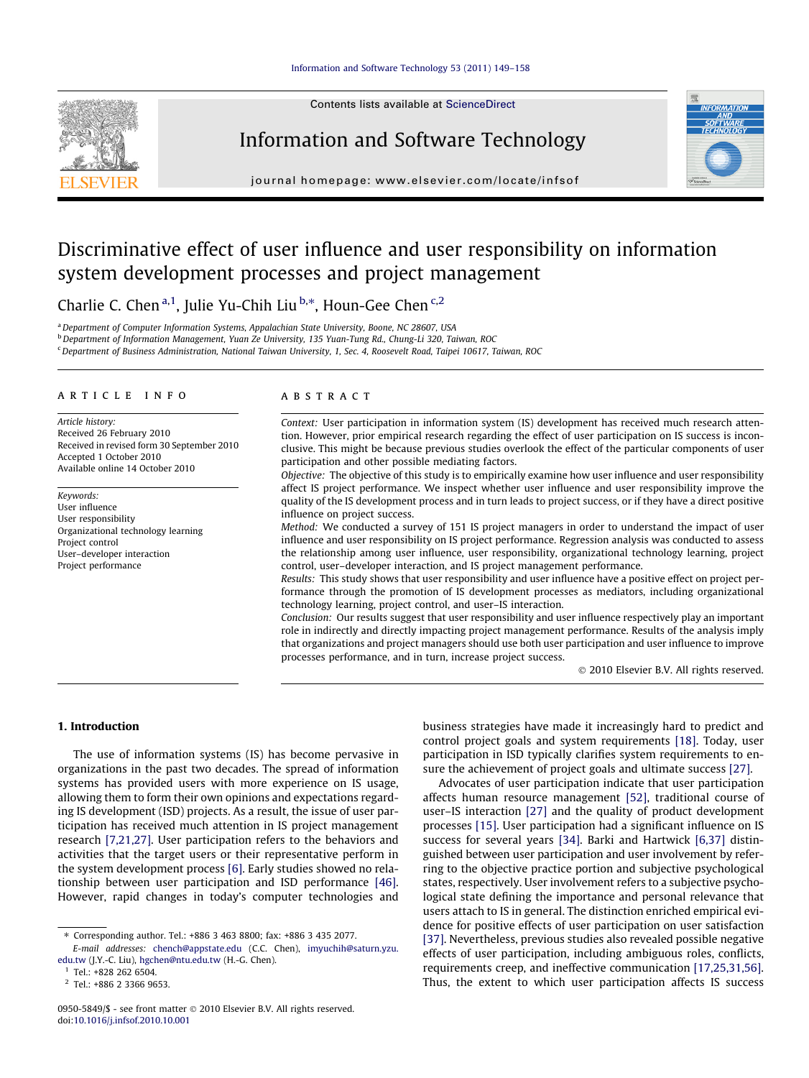

Contents lists available at [ScienceDirect](http://www.sciencedirect.com/science/journal/09505849)

# Information and Software Technology



journal homepage: [www.elsevier.com/locate/infsof](http://www.elsevier.com/locate/infsof)

# Discriminative effect of user influence and user responsibility on information system development processes and project management

Charlie C. Chen<sup>a,1</sup>, Julie Yu-Chih Liu<sup>b,\*</sup>, Houn-Gee Chen<sup>c,2</sup>

aDepartment of Computer Information Systems, Appalachian State University, Boone, NC 28607, USA

<sup>b</sup> Department of Information Management, Yuan Ze University, 135 Yuan-Tung Rd., Chung-Li 320, Taiwan, ROC

<sup>c</sup> Department of Business Administration, National Taiwan University, 1, Sec. 4, Roosevelt Road, Taipei 10617, Taiwan, ROC

# ARTICLE INFO

Article history: Received 26 February 2010 Received in revised form 30 September 2010 Accepted 1 October 2010 Available online 14 October 2010

Keywords: User influence User responsibility Organizational technology learning Project control User–developer interaction Project performance

#### **ABSTRACT**

Context: User participation in information system (IS) development has received much research attention. However, prior empirical research regarding the effect of user participation on IS success is inconclusive. This might be because previous studies overlook the effect of the particular components of user participation and other possible mediating factors.

Objective: The objective of this study is to empirically examine how user influence and user responsibility affect IS project performance. We inspect whether user influence and user responsibility improve the quality of the IS development process and in turn leads to project success, or if they have a direct positive influence on project success.

Method: We conducted a survey of 151 IS project managers in order to understand the impact of user influence and user responsibility on IS project performance. Regression analysis was conducted to assess the relationship among user influence, user responsibility, organizational technology learning, project control, user–developer interaction, and IS project management performance.

Results: This study shows that user responsibility and user influence have a positive effect on project performance through the promotion of IS development processes as mediators, including organizational technology learning, project control, and user–IS interaction.

Conclusion: Our results suggest that user responsibility and user influence respectively play an important role in indirectly and directly impacting project management performance. Results of the analysis imply that organizations and project managers should use both user participation and user influence to improve processes performance, and in turn, increase project success.

- 2010 Elsevier B.V. All rights reserved.

# 1. Introduction

The use of information systems (IS) has become pervasive in organizations in the past two decades. The spread of information systems has provided users with more experience on IS usage, allowing them to form their own opinions and expectations regarding IS development (ISD) projects. As a result, the issue of user participation has received much attention in IS project management research [\[7,21,27\]](#page-8-0). User participation refers to the behaviors and activities that the target users or their representative perform in the system development process [\[6\].](#page-8-0) Early studies showed no relationship between user participation and ISD performance [\[46\].](#page-9-0) However, rapid changes in today's computer technologies and

business strategies have made it increasingly hard to predict and control project goals and system requirements [\[18\].](#page-8-0) Today, user participation in ISD typically clarifies system requirements to ensure the achievement of project goals and ultimate success [\[27\].](#page-8-0)

Advocates of user participation indicate that user participation affects human resource management [\[52\],](#page-9-0) traditional course of user–IS interaction [\[27\]](#page-8-0) and the quality of product development processes [\[15\].](#page-8-0) User participation had a significant influence on IS success for several years [\[34\]](#page-8-0). Barki and Hartwick [\[6,37\]](#page-8-0) distinguished between user participation and user involvement by referring to the objective practice portion and subjective psychological states, respectively. User involvement refers to a subjective psychological state defining the importance and personal relevance that users attach to IS in general. The distinction enriched empirical evidence for positive effects of user participation on user satisfaction [\[37\]](#page-9-0). Nevertheless, previous studies also revealed possible negative effects of user participation, including ambiguous roles, conflicts, requirements creep, and ineffective communication [\[17,25,31,56\].](#page-8-0) Thus, the extent to which user participation affects IS success

<sup>⇑</sup> Corresponding author. Tel.: +886 3 463 8800; fax: +886 3 435 2077. E-mail addresses: [chench@appstate.edu](mailto:chench@appstate.edu) (C.C. Chen), [imyuchih@saturn.yzu.](mailto:imyuchih@saturn.yzu.edu.tw)

[edu.tw](mailto:imyuchih@saturn.yzu.edu.tw) (J.Y.-C. Liu), [hgchen@ntu.edu.tw](mailto:hgchen@ntu.edu.tw) (H.-G. Chen). <sup>1</sup> Tel.: +828 262 6504.

<sup>2</sup> Tel.: +886 2 3366 9653.

<sup>0950-5849/\$ -</sup> see front matter © 2010 Elsevier B.V. All rights reserved. doi[:10.1016/j.infsof.2010.10.001](http://dx.doi.org/10.1016/j.infsof.2010.10.001)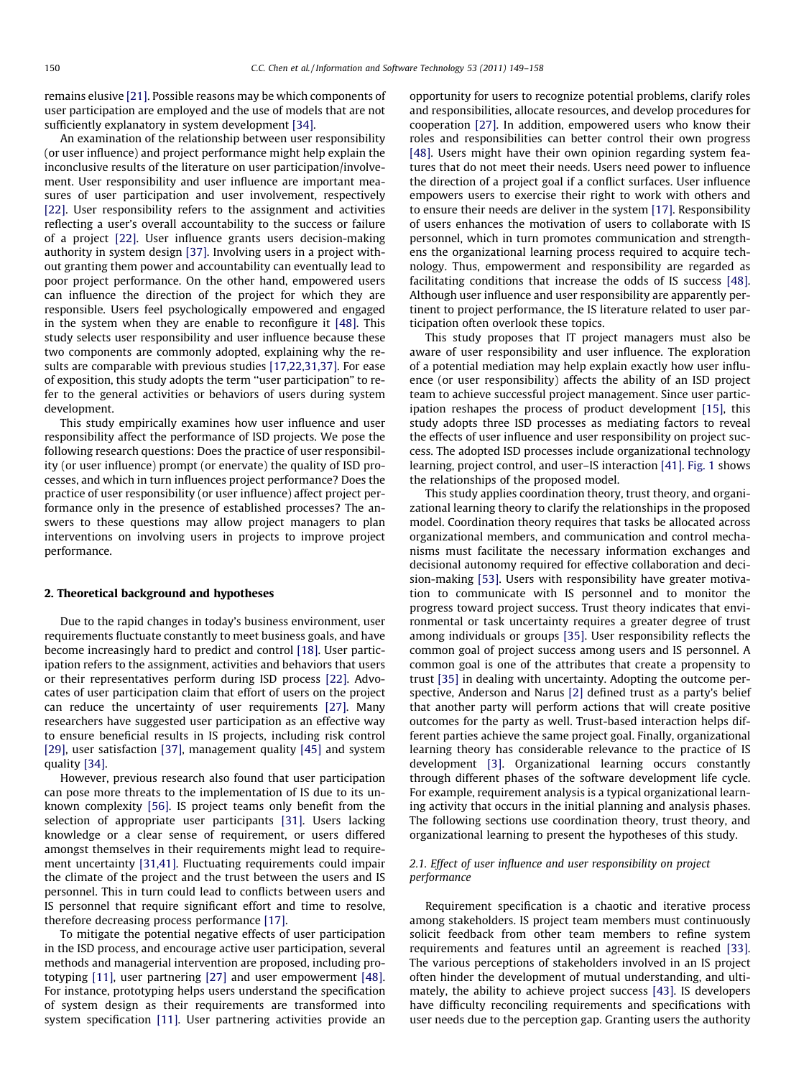remains elusive [\[21\].](#page-8-0) Possible reasons may be which components of user participation are employed and the use of models that are not sufficiently explanatory in system development [\[34\].](#page-8-0)

An examination of the relationship between user responsibility (or user influence) and project performance might help explain the inconclusive results of the literature on user participation/involvement. User responsibility and user influence are important measures of user participation and user involvement, respectively [\[22\]](#page-8-0). User responsibility refers to the assignment and activities reflecting a user's overall accountability to the success or failure of a project [\[22\]](#page-8-0). User influence grants users decision-making authority in system design [\[37\]](#page-9-0). Involving users in a project without granting them power and accountability can eventually lead to poor project performance. On the other hand, empowered users can influence the direction of the project for which they are responsible. Users feel psychologically empowered and engaged in the system when they are enable to reconfigure it [\[48\]](#page-9-0). This study selects user responsibility and user influence because these two components are commonly adopted, explaining why the results are comparable with previous studies [\[17,22,31,37\]](#page-8-0). For ease of exposition, this study adopts the term ''user participation" to refer to the general activities or behaviors of users during system development.

This study empirically examines how user influence and user responsibility affect the performance of ISD projects. We pose the following research questions: Does the practice of user responsibility (or user influence) prompt (or enervate) the quality of ISD processes, and which in turn influences project performance? Does the practice of user responsibility (or user influence) affect project performance only in the presence of established processes? The answers to these questions may allow project managers to plan interventions on involving users in projects to improve project performance.

#### 2. Theoretical background and hypotheses

Due to the rapid changes in today's business environment, user requirements fluctuate constantly to meet business goals, and have become increasingly hard to predict and control [\[18\]](#page-8-0). User participation refers to the assignment, activities and behaviors that users or their representatives perform during ISD process [\[22\]](#page-8-0). Advocates of user participation claim that effort of users on the project can reduce the uncertainty of user requirements [\[27\]](#page-8-0). Many researchers have suggested user participation as an effective way to ensure beneficial results in IS projects, including risk control [\[29\]](#page-8-0), user satisfaction [\[37\]](#page-9-0), management quality [\[45\]](#page-9-0) and system quality [\[34\]](#page-8-0).

However, previous research also found that user participation can pose more threats to the implementation of IS due to its unknown complexity [\[56\]](#page-9-0). IS project teams only benefit from the selection of appropriate user participants [\[31\].](#page-8-0) Users lacking knowledge or a clear sense of requirement, or users differed amongst themselves in their requirements might lead to requirement uncertainty [\[31,41\].](#page-8-0) Fluctuating requirements could impair the climate of the project and the trust between the users and IS personnel. This in turn could lead to conflicts between users and IS personnel that require significant effort and time to resolve, therefore decreasing process performance [\[17\]](#page-8-0).

To mitigate the potential negative effects of user participation in the ISD process, and encourage active user participation, several methods and managerial intervention are proposed, including prototyping [\[11\]](#page-8-0), user partnering [\[27\]](#page-8-0) and user empowerment [\[48\].](#page-9-0) For instance, prototyping helps users understand the specification of system design as their requirements are transformed into system specification [\[11\]](#page-8-0). User partnering activities provide an opportunity for users to recognize potential problems, clarify roles and responsibilities, allocate resources, and develop procedures for cooperation [\[27\]](#page-8-0). In addition, empowered users who know their roles and responsibilities can better control their own progress [\[48\]](#page-9-0). Users might have their own opinion regarding system features that do not meet their needs. Users need power to influence the direction of a project goal if a conflict surfaces. User influence empowers users to exercise their right to work with others and to ensure their needs are deliver in the system [\[17\]](#page-8-0). Responsibility of users enhances the motivation of users to collaborate with IS personnel, which in turn promotes communication and strengthens the organizational learning process required to acquire technology. Thus, empowerment and responsibility are regarded as facilitating conditions that increase the odds of IS success [\[48\].](#page-9-0) Although user influence and user responsibility are apparently pertinent to project performance, the IS literature related to user participation often overlook these topics.

This study proposes that IT project managers must also be aware of user responsibility and user influence. The exploration of a potential mediation may help explain exactly how user influence (or user responsibility) affects the ability of an ISD project team to achieve successful project management. Since user participation reshapes the process of product development [\[15\],](#page-8-0) this study adopts three ISD processes as mediating factors to reveal the effects of user influence and user responsibility on project success. The adopted ISD processes include organizational technology learning, project control, and user–IS interaction [\[41\]](#page-9-0). [Fig. 1](#page-2-0) shows the relationships of the proposed model.

This study applies coordination theory, trust theory, and organizational learning theory to clarify the relationships in the proposed model. Coordination theory requires that tasks be allocated across organizational members, and communication and control mechanisms must facilitate the necessary information exchanges and decisional autonomy required for effective collaboration and decision-making [\[53\]](#page-9-0). Users with responsibility have greater motivation to communicate with IS personnel and to monitor the progress toward project success. Trust theory indicates that environmental or task uncertainty requires a greater degree of trust among individuals or groups [\[35\]](#page-8-0). User responsibility reflects the common goal of project success among users and IS personnel. A common goal is one of the attributes that create a propensity to trust [\[35\]](#page-8-0) in dealing with uncertainty. Adopting the outcome perspective, Anderson and Narus [\[2\]](#page-8-0) defined trust as a party's belief that another party will perform actions that will create positive outcomes for the party as well. Trust-based interaction helps different parties achieve the same project goal. Finally, organizational learning theory has considerable relevance to the practice of IS development [\[3\].](#page-8-0) Organizational learning occurs constantly through different phases of the software development life cycle. For example, requirement analysis is a typical organizational learning activity that occurs in the initial planning and analysis phases. The following sections use coordination theory, trust theory, and organizational learning to present the hypotheses of this study.

## 2.1. Effect of user influence and user responsibility on project performance

Requirement specification is a chaotic and iterative process among stakeholders. IS project team members must continuously solicit feedback from other team members to refine system requirements and features until an agreement is reached [\[33\].](#page-8-0) The various perceptions of stakeholders involved in an IS project often hinder the development of mutual understanding, and ultimately, the ability to achieve project success [\[43\]](#page-9-0). IS developers have difficulty reconciling requirements and specifications with user needs due to the perception gap. Granting users the authority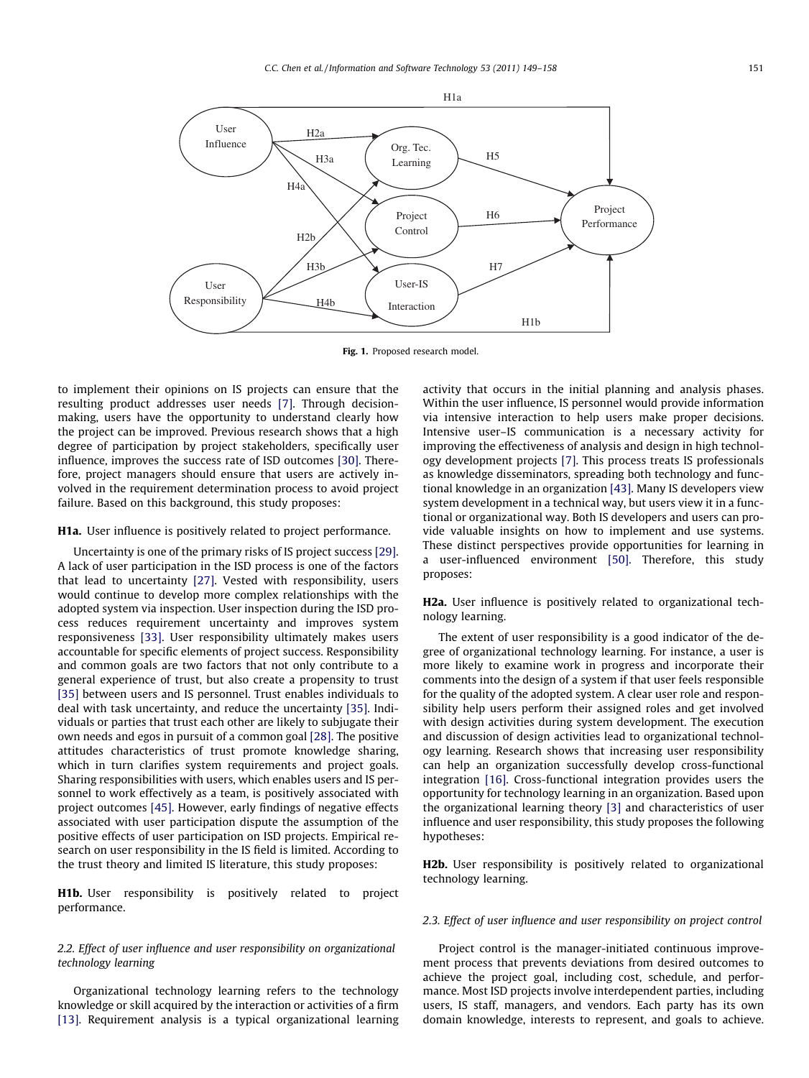<span id="page-2-0"></span>

Fig. 1. Proposed research model.

to implement their opinions on IS projects can ensure that the resulting product addresses user needs [\[7\].](#page-8-0) Through decisionmaking, users have the opportunity to understand clearly how the project can be improved. Previous research shows that a high degree of participation by project stakeholders, specifically user influence, improves the success rate of ISD outcomes [\[30\]](#page-8-0). Therefore, project managers should ensure that users are actively involved in the requirement determination process to avoid project failure. Based on this background, this study proposes:

H1a. User influence is positively related to project performance.

Uncertainty is one of the primary risks of IS project success [\[29\].](#page-8-0) A lack of user participation in the ISD process is one of the factors that lead to uncertainty [\[27\].](#page-8-0) Vested with responsibility, users would continue to develop more complex relationships with the adopted system via inspection. User inspection during the ISD process reduces requirement uncertainty and improves system responsiveness [\[33\]](#page-8-0). User responsibility ultimately makes users accountable for specific elements of project success. Responsibility and common goals are two factors that not only contribute to a general experience of trust, but also create a propensity to trust [\[35\]](#page-8-0) between users and IS personnel. Trust enables individuals to deal with task uncertainty, and reduce the uncertainty [\[35\].](#page-8-0) Individuals or parties that trust each other are likely to subjugate their own needs and egos in pursuit of a common goal [\[28\].](#page-8-0) The positive attitudes characteristics of trust promote knowledge sharing, which in turn clarifies system requirements and project goals. Sharing responsibilities with users, which enables users and IS personnel to work effectively as a team, is positively associated with project outcomes [\[45\]](#page-9-0). However, early findings of negative effects associated with user participation dispute the assumption of the positive effects of user participation on ISD projects. Empirical research on user responsibility in the IS field is limited. According to the trust theory and limited IS literature, this study proposes:

H1b. User responsibility is positively related to project performance.

## 2.2. Effect of user influence and user responsibility on organizational technology learning

Organizational technology learning refers to the technology knowledge or skill acquired by the interaction or activities of a firm [\[13\].](#page-8-0) Requirement analysis is a typical organizational learning activity that occurs in the initial planning and analysis phases. Within the user influence, IS personnel would provide information via intensive interaction to help users make proper decisions. Intensive user–IS communication is a necessary activity for improving the effectiveness of analysis and design in high technology development projects [\[7\]](#page-8-0). This process treats IS professionals as knowledge disseminators, spreading both technology and functional knowledge in an organization [\[43\].](#page-9-0) Many IS developers view system development in a technical way, but users view it in a functional or organizational way. Both IS developers and users can provide valuable insights on how to implement and use systems. These distinct perspectives provide opportunities for learning in a user-influenced environment [\[50\]](#page-9-0). Therefore, this study proposes:

H2a. User influence is positively related to organizational technology learning.

The extent of user responsibility is a good indicator of the degree of organizational technology learning. For instance, a user is more likely to examine work in progress and incorporate their comments into the design of a system if that user feels responsible for the quality of the adopted system. A clear user role and responsibility help users perform their assigned roles and get involved with design activities during system development. The execution and discussion of design activities lead to organizational technology learning. Research shows that increasing user responsibility can help an organization successfully develop cross-functional integration [\[16\].](#page-8-0) Cross-functional integration provides users the opportunity for technology learning in an organization. Based upon the organizational learning theory [\[3\]](#page-8-0) and characteristics of user influence and user responsibility, this study proposes the following hypotheses:

H2b. User responsibility is positively related to organizational technology learning.

#### 2.3. Effect of user influence and user responsibility on project control

Project control is the manager-initiated continuous improvement process that prevents deviations from desired outcomes to achieve the project goal, including cost, schedule, and performance. Most ISD projects involve interdependent parties, including users, IS staff, managers, and vendors. Each party has its own domain knowledge, interests to represent, and goals to achieve.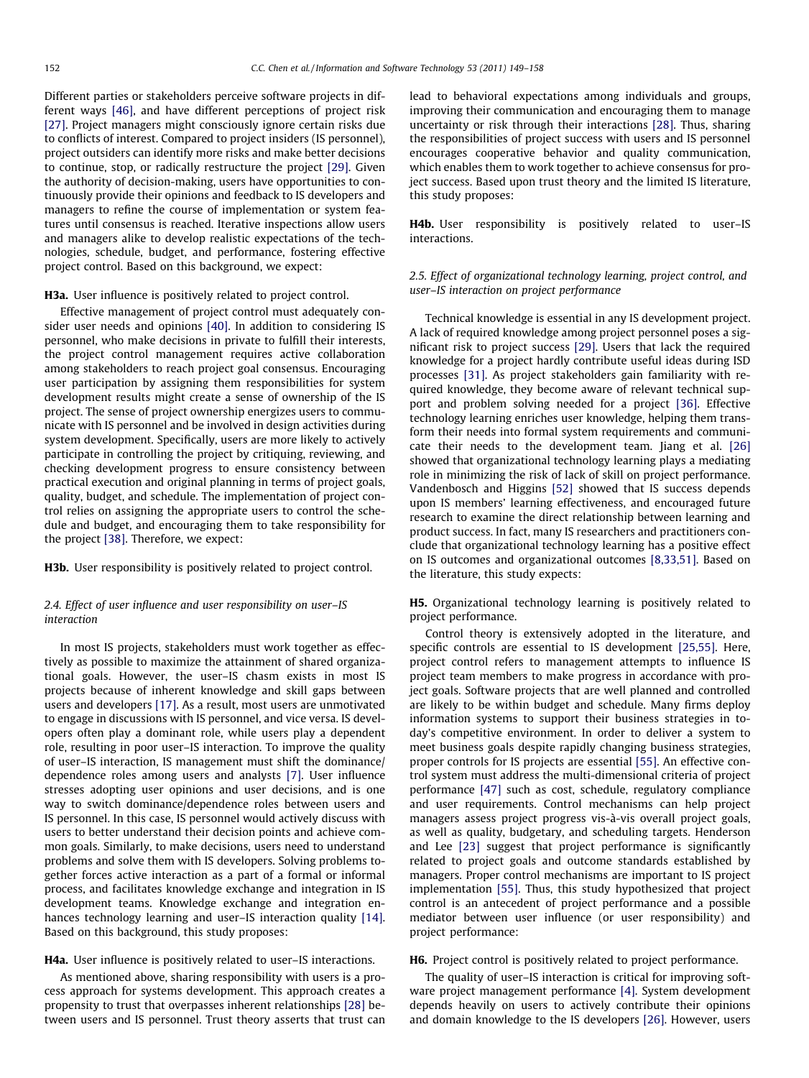Different parties or stakeholders perceive software projects in different ways [\[46\]](#page-9-0), and have different perceptions of project risk [\[27\]](#page-8-0). Project managers might consciously ignore certain risks due to conflicts of interest. Compared to project insiders (IS personnel), project outsiders can identify more risks and make better decisions to continue, stop, or radically restructure the project [\[29\].](#page-8-0) Given the authority of decision-making, users have opportunities to continuously provide their opinions and feedback to IS developers and managers to refine the course of implementation or system features until consensus is reached. Iterative inspections allow users and managers alike to develop realistic expectations of the technologies, schedule, budget, and performance, fostering effective project control. Based on this background, we expect:

### H3a. User influence is positively related to project control.

Effective management of project control must adequately consider user needs and opinions [\[40\].](#page-9-0) In addition to considering IS personnel, who make decisions in private to fulfill their interests, the project control management requires active collaboration among stakeholders to reach project goal consensus. Encouraging user participation by assigning them responsibilities for system development results might create a sense of ownership of the IS project. The sense of project ownership energizes users to communicate with IS personnel and be involved in design activities during system development. Specifically, users are more likely to actively participate in controlling the project by critiquing, reviewing, and checking development progress to ensure consistency between practical execution and original planning in terms of project goals, quality, budget, and schedule. The implementation of project control relies on assigning the appropriate users to control the schedule and budget, and encouraging them to take responsibility for the project [\[38\]](#page-9-0). Therefore, we expect:

H3b. User responsibility is positively related to project control.

## 2.4. Effect of user influence and user responsibility on user–IS interaction

In most IS projects, stakeholders must work together as effectively as possible to maximize the attainment of shared organizational goals. However, the user–IS chasm exists in most IS projects because of inherent knowledge and skill gaps between users and developers [\[17\].](#page-8-0) As a result, most users are unmotivated to engage in discussions with IS personnel, and vice versa. IS developers often play a dominant role, while users play a dependent role, resulting in poor user–IS interaction. To improve the quality of user–IS interaction, IS management must shift the dominance/ dependence roles among users and analysts [\[7\].](#page-8-0) User influence stresses adopting user opinions and user decisions, and is one way to switch dominance/dependence roles between users and IS personnel. In this case, IS personnel would actively discuss with users to better understand their decision points and achieve common goals. Similarly, to make decisions, users need to understand problems and solve them with IS developers. Solving problems together forces active interaction as a part of a formal or informal process, and facilitates knowledge exchange and integration in IS development teams. Knowledge exchange and integration enhances technology learning and user–IS interaction quality [\[14\].](#page-8-0) Based on this background, this study proposes:

## H4a. User influence is positively related to user–IS interactions.

As mentioned above, sharing responsibility with users is a process approach for systems development. This approach creates a propensity to trust that overpasses inherent relationships [\[28\]](#page-8-0) between users and IS personnel. Trust theory asserts that trust can

lead to behavioral expectations among individuals and groups, improving their communication and encouraging them to manage uncertainty or risk through their interactions [\[28\]](#page-8-0). Thus, sharing the responsibilities of project success with users and IS personnel encourages cooperative behavior and quality communication, which enables them to work together to achieve consensus for project success. Based upon trust theory and the limited IS literature, this study proposes:

H4b. User responsibility is positively related to user-IS interactions.

## 2.5. Effect of organizational technology learning, project control, and user–IS interaction on project performance

Technical knowledge is essential in any IS development project. A lack of required knowledge among project personnel poses a significant risk to project success [\[29\].](#page-8-0) Users that lack the required knowledge for a project hardly contribute useful ideas during ISD processes [\[31\]](#page-8-0). As project stakeholders gain familiarity with required knowledge, they become aware of relevant technical support and problem solving needed for a project [\[36\].](#page-9-0) Effective technology learning enriches user knowledge, helping them transform their needs into formal system requirements and communicate their needs to the development team. Jiang et al. [\[26\]](#page-8-0) showed that organizational technology learning plays a mediating role in minimizing the risk of lack of skill on project performance. Vandenbosch and Higgins [\[52\]](#page-9-0) showed that IS success depends upon IS members' learning effectiveness, and encouraged future research to examine the direct relationship between learning and product success. In fact, many IS researchers and practitioners conclude that organizational technology learning has a positive effect on IS outcomes and organizational outcomes [\[8,33,51\].](#page-8-0) Based on the literature, this study expects:

H5. Organizational technology learning is positively related to project performance.

Control theory is extensively adopted in the literature, and specific controls are essential to IS development [\[25,55\].](#page-8-0) Here, project control refers to management attempts to influence IS project team members to make progress in accordance with project goals. Software projects that are well planned and controlled are likely to be within budget and schedule. Many firms deploy information systems to support their business strategies in today's competitive environment. In order to deliver a system to meet business goals despite rapidly changing business strategies, proper controls for IS projects are essential [\[55\].](#page-9-0) An effective control system must address the multi-dimensional criteria of project performance [\[47\]](#page-9-0) such as cost, schedule, regulatory compliance and user requirements. Control mechanisms can help project managers assess project progress vis-à-vis overall project goals, as well as quality, budgetary, and scheduling targets. Henderson and Lee [\[23\]](#page-8-0) suggest that project performance is significantly related to project goals and outcome standards established by managers. Proper control mechanisms are important to IS project implementation [\[55\].](#page-9-0) Thus, this study hypothesized that project control is an antecedent of project performance and a possible mediator between user influence (or user responsibility) and project performance:

# H6. Project control is positively related to project performance.

The quality of user–IS interaction is critical for improving software project management performance [\[4\].](#page-8-0) System development depends heavily on users to actively contribute their opinions and domain knowledge to the IS developers [\[26\]](#page-8-0). However, users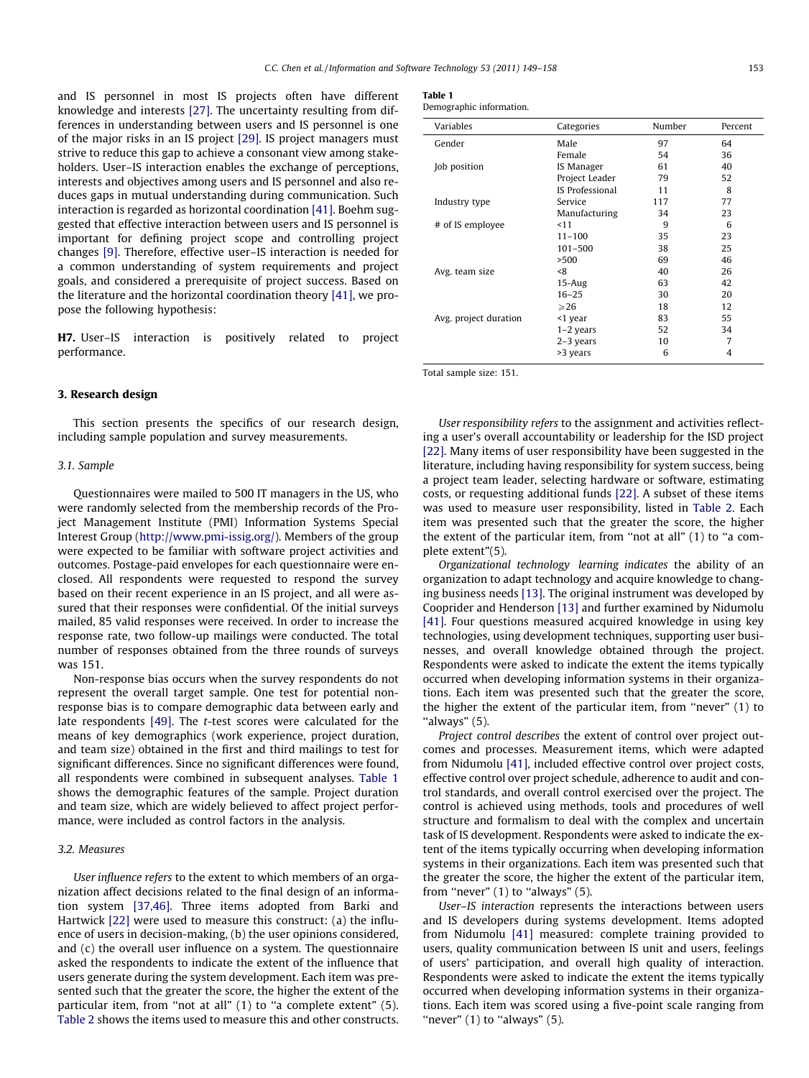and IS personnel in most IS projects often have different knowledge and interests [\[27\].](#page-8-0) The uncertainty resulting from differences in understanding between users and IS personnel is one of the major risks in an IS project [\[29\].](#page-8-0) IS project managers must strive to reduce this gap to achieve a consonant view among stakeholders. User–IS interaction enables the exchange of perceptions, interests and objectives among users and IS personnel and also reduces gaps in mutual understanding during communication. Such interaction is regarded as horizontal coordination [\[41\]](#page-9-0). Boehm suggested that effective interaction between users and IS personnel is important for defining project scope and controlling project changes [\[9\].](#page-8-0) Therefore, effective user–IS interaction is needed for a common understanding of system requirements and project goals, and considered a prerequisite of project success. Based on the literature and the horizontal coordination theory [\[41\],](#page-9-0) we propose the following hypothesis:

H7. User–IS interaction is positively related to project performance.

#### 3. Research design

This section presents the specifics of our research design, including sample population and survey measurements.

#### 3.1. Sample

Questionnaires were mailed to 500 IT managers in the US, who were randomly selected from the membership records of the Project Management Institute (PMI) Information Systems Special Interest Group (<http://www.pmi-issig.org/>). Members of the group were expected to be familiar with software project activities and outcomes. Postage-paid envelopes for each questionnaire were enclosed. All respondents were requested to respond the survey based on their recent experience in an IS project, and all were assured that their responses were confidential. Of the initial surveys mailed, 85 valid responses were received. In order to increase the response rate, two follow-up mailings were conducted. The total number of responses obtained from the three rounds of surveys was 151.

Non-response bias occurs when the survey respondents do not represent the overall target sample. One test for potential nonresponse bias is to compare demographic data between early and late respondents [\[49\]](#page-9-0). The t-test scores were calculated for the means of key demographics (work experience, project duration, and team size) obtained in the first and third mailings to test for significant differences. Since no significant differences were found, all respondents were combined in subsequent analyses. Table 1 shows the demographic features of the sample. Project duration and team size, which are widely believed to affect project performance, were included as control factors in the analysis.

## 3.2. Measures

User influence refers to the extent to which members of an organization affect decisions related to the final design of an information system [\[37,46\]](#page-9-0). Three items adopted from Barki and Hartwick [\[22\]](#page-8-0) were used to measure this construct: (a) the influence of users in decision-making, (b) the user opinions considered, and (c) the overall user influence on a system. The questionnaire asked the respondents to indicate the extent of the influence that users generate during the system development. Each item was presented such that the greater the score, the higher the extent of the particular item, from "not at all" (1) to "a complete extent" (5). [Table 2](#page-5-0) shows the items used to measure this and other constructs.

| а | וחו |  |
|---|-----|--|
|   |     |  |

| Table 1                  |  |
|--------------------------|--|
| Demographic information. |  |

| Variables             | Categories             | Number | Percent |
|-----------------------|------------------------|--------|---------|
| Gender                | Male                   | 97     | 64      |
|                       | Female                 | 54     | 36      |
| Job position          | IS Manager             | 61     | 40      |
|                       | Project Leader         | 79     | 52      |
|                       | <b>IS Professional</b> | 11     | 8       |
| Industry type         | Service                | 117    | 77      |
|                       | Manufacturing          | 34     | 23      |
| # of IS employee      | < 11                   | 9      | 6       |
|                       | $11 - 100$             | 35     | 23      |
|                       | $101 - 500$            | 38     | 25      |
|                       | >500                   | 69     | 46      |
| Avg. team size        | -8                     | 40     | 26      |
|                       | $15 - Aug$             | 63     | 42      |
|                       | $16 - 25$              | 30     | 20      |
|                       | $\geqslant$ 26         | 18     | 12      |
| Avg. project duration | <1 year                | 83     | 55      |
|                       | $1-2$ years            | 52     | 34      |
|                       | $2-3$ years            | 10     | 7       |
|                       | >3 years               | 6      | 4       |

Total sample size: 151.

User responsibility refers to the assignment and activities reflecting a user's overall accountability or leadership for the ISD project [\[22\]](#page-8-0). Many items of user responsibility have been suggested in the literature, including having responsibility for system success, being a project team leader, selecting hardware or software, estimating costs, or requesting additional funds [\[22\].](#page-8-0) A subset of these items was used to measure user responsibility, listed in [Table 2](#page-5-0). Each item was presented such that the greater the score, the higher the extent of the particular item, from "not at all"  $(1)$  to "a complete extent"(5).

Organizational technology learning indicates the ability of an organization to adapt technology and acquire knowledge to changing business needs [\[13\].](#page-8-0) The original instrument was developed by Cooprider and Henderson [\[13\]](#page-8-0) and further examined by Nidumolu [\[41\]](#page-9-0). Four questions measured acquired knowledge in using key technologies, using development techniques, supporting user businesses, and overall knowledge obtained through the project. Respondents were asked to indicate the extent the items typically occurred when developing information systems in their organizations. Each item was presented such that the greater the score, the higher the extent of the particular item, from ''never" (1) to ''always" (5).

Project control describes the extent of control over project outcomes and processes. Measurement items, which were adapted from Nidumolu [\[41\],](#page-9-0) included effective control over project costs, effective control over project schedule, adherence to audit and control standards, and overall control exercised over the project. The control is achieved using methods, tools and procedures of well structure and formalism to deal with the complex and uncertain task of IS development. Respondents were asked to indicate the extent of the items typically occurring when developing information systems in their organizations. Each item was presented such that the greater the score, the higher the extent of the particular item, from "never"  $(1)$  to "always"  $(5)$ .

User–IS interaction represents the interactions between users and IS developers during systems development. Items adopted from Nidumolu [\[41\]](#page-9-0) measured: complete training provided to users, quality communication between IS unit and users, feelings of users' participation, and overall high quality of interaction. Respondents were asked to indicate the extent the items typically occurred when developing information systems in their organizations. Each item was scored using a five-point scale ranging from "never"  $(1)$  to "always"  $(5)$ .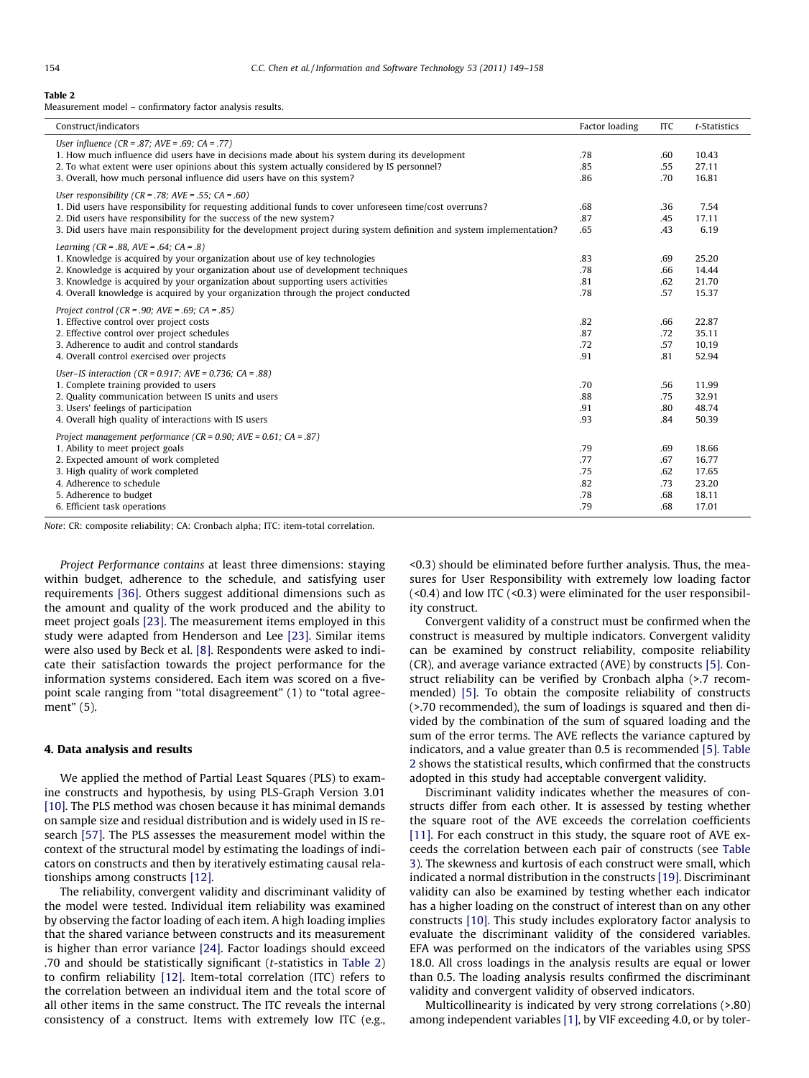#### <span id="page-5-0"></span>Table 2

Measurement model – confirmatory factor analysis results.

| Construct/indicators                                                                                                                                                                                                                                                                                                                                                                  | Factor loading                         | <b>ITC</b>                             | t-Statistics                                       |
|---------------------------------------------------------------------------------------------------------------------------------------------------------------------------------------------------------------------------------------------------------------------------------------------------------------------------------------------------------------------------------------|----------------------------------------|----------------------------------------|----------------------------------------------------|
| User influence ( $CR = .87$ ; $AVE = .69$ ; $CA = .77$ )<br>1. How much influence did users have in decisions made about his system during its development<br>2. To what extent were user opinions about this system actually considered by IS personnel?<br>3. Overall, how much personal influence did users have on this system?                                                   | .78<br>.85<br>.86                      | .60<br>.55<br>.70                      | 10.43<br>27.11<br>16.81                            |
| User responsibility ( $CR = .78$ ; $AVE = .55$ ; $CA = .60$ )<br>1. Did users have responsibility for requesting additional funds to cover unforeseen time/cost overruns?<br>2. Did users have responsibility for the success of the new system?<br>3. Did users have main responsibility for the development project during system definition and system implementation?             | .68<br>.87<br>.65                      | .36<br>.45<br>.43                      | 7.54<br>17.11<br>6.19                              |
| Learning (CR = .88, AVE = .64; CA = .8)<br>1. Knowledge is acquired by your organization about use of key technologies<br>2. Knowledge is acquired by your organization about use of development techniques<br>3. Knowledge is acquired by your organization about supporting users activities<br>4. Overall knowledge is acquired by your organization through the project conducted | .83<br>.78<br>.81<br>.78               | .69<br>.66<br>.62<br>.57               | 25.20<br>14.44<br>21.70<br>15.37                   |
| Project control ( $CR = .90$ ; $AVE = .69$ ; $CA = .85$ )<br>1. Effective control over project costs<br>2. Effective control over project schedules<br>3. Adherence to audit and control standards<br>4. Overall control exercised over projects                                                                                                                                      | .82<br>.87<br>.72<br>.91               | .66<br>.72<br>.57<br>.81               | 22.87<br>35.11<br>10.19<br>52.94                   |
| User-IS interaction (CR = 0.917; AVE = 0.736; CA = .88)<br>1. Complete training provided to users<br>2. Quality communication between IS units and users<br>3. Users' feelings of participation<br>4. Overall high quality of interactions with IS users                                                                                                                              | .70<br>.88<br>.91<br>.93               | .56<br>.75<br>.80<br>.84               | 11.99<br>32.91<br>48.74<br>50.39                   |
| Project management performance ( $CR = 0.90$ ; AVE = 0.61; $CA = .87$ )<br>1. Ability to meet project goals<br>2. Expected amount of work completed<br>3. High quality of work completed<br>4. Adherence to schedule<br>5. Adherence to budget<br>6. Efficient task operations                                                                                                        | .79<br>.77<br>.75<br>.82<br>.78<br>.79 | .69<br>.67<br>.62<br>.73<br>.68<br>.68 | 18.66<br>16.77<br>17.65<br>23.20<br>18.11<br>17.01 |

Note: CR: composite reliability; CA: Cronbach alpha; ITC: item-total correlation.

Project Performance contains at least three dimensions: staying within budget, adherence to the schedule, and satisfying user requirements [\[36\]](#page-9-0). Others suggest additional dimensions such as the amount and quality of the work produced and the ability to meet project goals [\[23\].](#page-8-0) The measurement items employed in this study were adapted from Henderson and Lee [\[23\]](#page-8-0). Similar items were also used by Beck et al. [\[8\]](#page-8-0). Respondents were asked to indicate their satisfaction towards the project performance for the information systems considered. Each item was scored on a fivepoint scale ranging from "total disagreement" (1) to "total agreement" (5).

#### 4. Data analysis and results

We applied the method of Partial Least Squares (PLS) to examine constructs and hypothesis, by using PLS-Graph Version 3.01 [\[10\]](#page-8-0). The PLS method was chosen because it has minimal demands on sample size and residual distribution and is widely used in IS research [\[57\]](#page-9-0). The PLS assesses the measurement model within the context of the structural model by estimating the loadings of indicators on constructs and then by iteratively estimating causal relationships among constructs [\[12\].](#page-8-0)

The reliability, convergent validity and discriminant validity of the model were tested. Individual item reliability was examined by observing the factor loading of each item. A high loading implies that the shared variance between constructs and its measurement is higher than error variance [\[24\].](#page-8-0) Factor loadings should exceed .70 and should be statistically significant (t-statistics in Table 2) to confirm reliability [\[12\]](#page-8-0). Item-total correlation (ITC) refers to the correlation between an individual item and the total score of all other items in the same construct. The ITC reveals the internal consistency of a construct. Items with extremely low ITC (e.g.,

<0.3) should be eliminated before further analysis. Thus, the measures for User Responsibility with extremely low loading factor (<0.4) and low ITC (<0.3) were eliminated for the user responsibility construct.

Convergent validity of a construct must be confirmed when the construct is measured by multiple indicators. Convergent validity can be examined by construct reliability, composite reliability (CR), and average variance extracted (AVE) by constructs [\[5\].](#page-8-0) Construct reliability can be verified by Cronbach alpha (>.7 recommended) [\[5\].](#page-8-0) To obtain the composite reliability of constructs (>.70 recommended), the sum of loadings is squared and then divided by the combination of the sum of squared loading and the sum of the error terms. The AVE reflects the variance captured by indicators, and a value greater than 0.5 is recommended [\[5\]](#page-8-0). Table 2 shows the statistical results, which confirmed that the constructs adopted in this study had acceptable convergent validity.

Discriminant validity indicates whether the measures of constructs differ from each other. It is assessed by testing whether the square root of the AVE exceeds the correlation coefficients [\[11\]](#page-8-0). For each construct in this study, the square root of AVE exceeds the correlation between each pair of constructs (see [Table](#page-6-0) [3](#page-6-0)). The skewness and kurtosis of each construct were small, which indicated a normal distribution in the constructs [\[19\]](#page-8-0). Discriminant validity can also be examined by testing whether each indicator has a higher loading on the construct of interest than on any other constructs [\[10\]](#page-8-0). This study includes exploratory factor analysis to evaluate the discriminant validity of the considered variables. EFA was performed on the indicators of the variables using SPSS 18.0. All cross loadings in the analysis results are equal or lower than 0.5. The loading analysis results confirmed the discriminant validity and convergent validity of observed indicators.

Multicollinearity is indicated by very strong correlations (>.80) among independent variables [\[1\],](#page-8-0) by VIF exceeding 4.0, or by toler-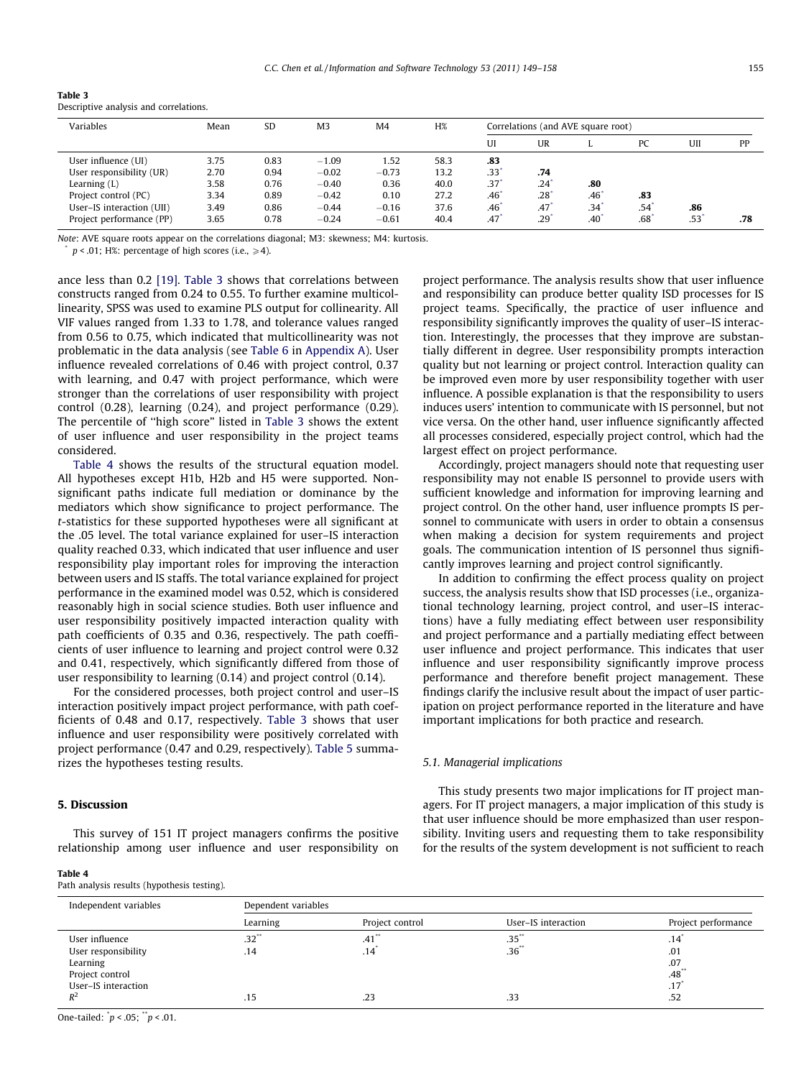| Table 3                                |  |
|----------------------------------------|--|
| Descriptive analysis and correlations. |  |

<span id="page-6-0"></span> $T = 3$ 

| Variables                 | Mean | SD   | M <sub>3</sub> | M <sub>4</sub> | H%   | Correlations (and AVE square root) |                 |                  |                  |     |     |
|---------------------------|------|------|----------------|----------------|------|------------------------------------|-----------------|------------------|------------------|-----|-----|
|                           |      |      |                |                |      | UI                                 | UR              | .,               | PC               | UII | PP  |
| User influence (UI)       | 3.75 | 0.83 | $-1.09$        | 1.52           | 58.3 | .83                                |                 |                  |                  |     |     |
| User responsibility (UR)  | 2.70 | 0.94 | $-0.02$        | $-0.73$        | 13.2 | .33"                               | .74             |                  |                  |     |     |
| Learning $(L)$            | 3.58 | 0.76 | $-0.40$        | 0.36           | 40.0 | .37 <sup>2</sup>                   | $.24^{\degree}$ | .80              |                  |     |     |
| Project control (PC)      | 3.34 | 0.89 | $-0.42$        | 0.10           | 27.2 | .46                                | $.28^{\degree}$ | $.46^{\degree}$  | .83              |     |     |
| User-IS interaction (UII) | 3.49 | 0.86 | $-0.44$        | $-0.16$        | 37.6 | .46                                | .47             | .34 <sup>2</sup> | .54 <sup>°</sup> | .86 |     |
| Project performance (PP)  | 3.65 | 0.78 | $-0.24$        | $-0.61$        | 40.4 | .47                                | .29             | .40 <sup>°</sup> | .68              | .53 | .78 |

Note: AVE square roots appear on the correlations diagonal; M3: skewness; M4: kurtosis.

 $p < .01$ ; H%: percentage of high scores (i.e.,  $\geq 4$ ).

ance less than 0.2 [\[19\].](#page-8-0) Table 3 shows that correlations between constructs ranged from 0.24 to 0.55. To further examine multicollinearity, SPSS was used to examine PLS output for collinearity. All VIF values ranged from 1.33 to 1.78, and tolerance values ranged from 0.56 to 0.75, which indicated that multicollinearity was not problematic in the data analysis (see [Table 6](#page-8-0) in [Appendix A](#page-8-0)). User influence revealed correlations of 0.46 with project control, 0.37 with learning, and 0.47 with project performance, which were stronger than the correlations of user responsibility with project control (0.28), learning (0.24), and project performance (0.29). The percentile of ''high score" listed in Table 3 shows the extent of user influence and user responsibility in the project teams considered.

Table 4 shows the results of the structural equation model. All hypotheses except H1b, H2b and H5 were supported. Nonsignificant paths indicate full mediation or dominance by the mediators which show significance to project performance. The t-statistics for these supported hypotheses were all significant at the .05 level. The total variance explained for user–IS interaction quality reached 0.33, which indicated that user influence and user responsibility play important roles for improving the interaction between users and IS staffs. The total variance explained for project performance in the examined model was 0.52, which is considered reasonably high in social science studies. Both user influence and user responsibility positively impacted interaction quality with path coefficients of 0.35 and 0.36, respectively. The path coefficients of user influence to learning and project control were 0.32 and 0.41, respectively, which significantly differed from those of user responsibility to learning (0.14) and project control (0.14).

For the considered processes, both project control and user–IS interaction positively impact project performance, with path coefficients of 0.48 and 0.17, respectively. Table 3 shows that user influence and user responsibility were positively correlated with project performance (0.47 and 0.29, respectively). [Table 5](#page-7-0) summarizes the hypotheses testing results.

## 5. Discussion

This survey of 151 IT project managers confirms the positive relationship among user influence and user responsibility on project performance. The analysis results show that user influence and responsibility can produce better quality ISD processes for IS project teams. Specifically, the practice of user influence and responsibility significantly improves the quality of user–IS interaction. Interestingly, the processes that they improve are substantially different in degree. User responsibility prompts interaction quality but not learning or project control. Interaction quality can be improved even more by user responsibility together with user influence. A possible explanation is that the responsibility to users induces users' intention to communicate with IS personnel, but not vice versa. On the other hand, user influence significantly affected all processes considered, especially project control, which had the largest effect on project performance.

Accordingly, project managers should note that requesting user responsibility may not enable IS personnel to provide users with sufficient knowledge and information for improving learning and project control. On the other hand, user influence prompts IS personnel to communicate with users in order to obtain a consensus when making a decision for system requirements and project goals. The communication intention of IS personnel thus significantly improves learning and project control significantly.

In addition to confirming the effect process quality on project success, the analysis results show that ISD processes (i.e., organizational technology learning, project control, and user–IS interactions) have a fully mediating effect between user responsibility and project performance and a partially mediating effect between user influence and project performance. This indicates that user influence and user responsibility significantly improve process performance and therefore benefit project management. These findings clarify the inclusive result about the impact of user participation on project performance reported in the literature and have important implications for both practice and research.

## 5.1. Managerial implications

This study presents two major implications for IT project managers. For IT project managers, a major implication of this study is that user influence should be more emphasized than user responsibility. Inviting users and requesting them to take responsibility for the results of the system development is not sufficient to reach

#### Table 4

Path analysis results (hypothesis testing).

| Independent variables                                                                                | Dependent variables               |                                   |                                             |                                                    |  |  |  |
|------------------------------------------------------------------------------------------------------|-----------------------------------|-----------------------------------|---------------------------------------------|----------------------------------------------------|--|--|--|
|                                                                                                      | Learning                          | Project control                   | User-IS interaction                         | Project performance                                |  |  |  |
| User influence<br>User responsibility<br>Learning<br>Project control<br>User-IS interaction<br>$R^2$ | $.32$ <sup>**</sup><br>.14<br>.15 | $.41$ <sup>**</sup><br>.14<br>.23 | .35 <sup>°</sup><br>.36 <sup>°</sup><br>.33 | .14<br>.01<br>.07<br>$.48^{\degree}$<br>.17<br>.52 |  |  |  |

One-tailed:  $\gamma p < .05$ ;  $\gamma p < .01$ .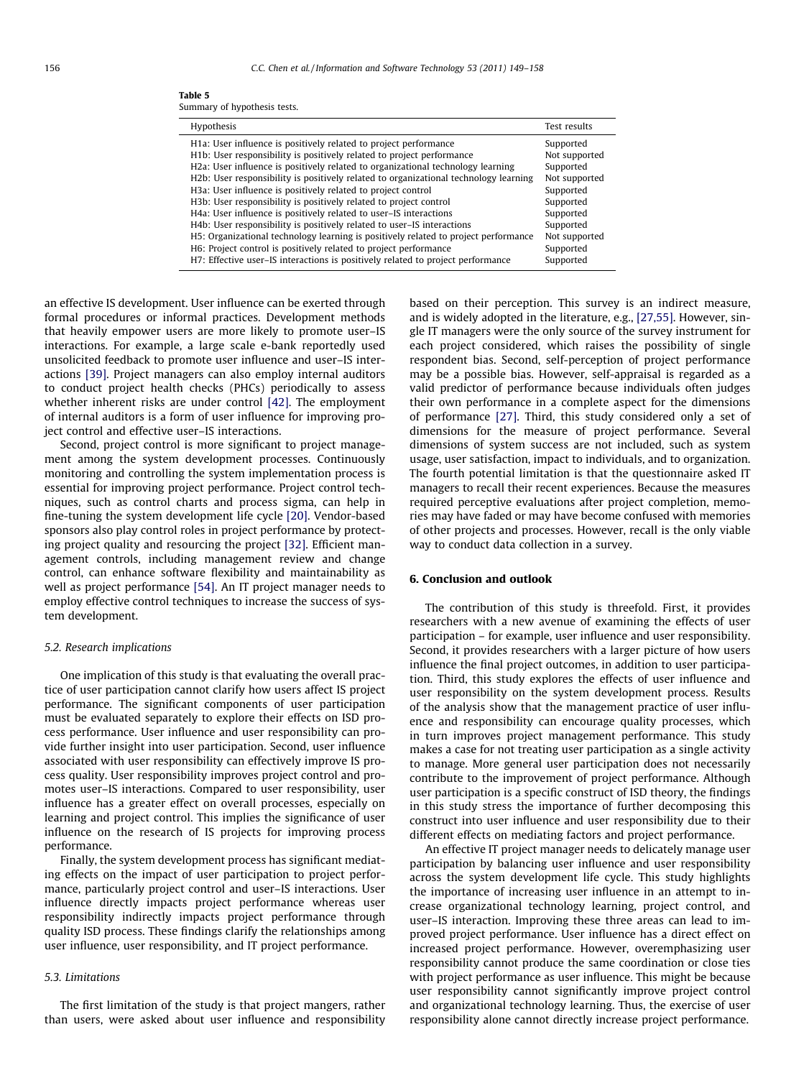<span id="page-7-0"></span>

| таніс Э |                              |  |
|---------|------------------------------|--|
|         | Summary of hypothesis tests. |  |

| Hypothesis                                                                                                                                              | Test results               |
|---------------------------------------------------------------------------------------------------------------------------------------------------------|----------------------------|
| H <sub>1</sub> a: User influence is positively related to project performance<br>H1b: User responsibility is positively related to project performance  | Supported<br>Not supported |
| H2a: User influence is positively related to organizational technology learning                                                                         | Supported                  |
| H2b: User responsibility is positively related to organizational technology learning                                                                    | Not supported              |
| H3a: User influence is positively related to project control                                                                                            | Supported                  |
| H3b: User responsibility is positively related to project control                                                                                       | Supported                  |
| H4a: User influence is positively related to user–IS interactions                                                                                       | Supported                  |
| H4b: User responsibility is positively related to user-IS interactions                                                                                  | Supported                  |
| H5: Organizational technology learning is positively related to project performance<br>H6: Project control is positively related to project performance | Not supported<br>Supported |
| H7: Effective user–IS interactions is positively related to project performance                                                                         | Supported                  |

an effective IS development. User influence can be exerted through formal procedures or informal practices. Development methods that heavily empower users are more likely to promote user–IS interactions. For example, a large scale e-bank reportedly used unsolicited feedback to promote user influence and user–IS interactions [\[39\]](#page-9-0). Project managers can also employ internal auditors to conduct project health checks (PHCs) periodically to assess whether inherent risks are under control [\[42\].](#page-9-0) The employment of internal auditors is a form of user influence for improving project control and effective user–IS interactions.

Second, project control is more significant to project management among the system development processes. Continuously monitoring and controlling the system implementation process is essential for improving project performance. Project control techniques, such as control charts and process sigma, can help in fine-tuning the system development life cycle [\[20\].](#page-8-0) Vendor-based sponsors also play control roles in project performance by protecting project quality and resourcing the project [\[32\]](#page-8-0). Efficient management controls, including management review and change control, can enhance software flexibility and maintainability as well as project performance [\[54\]](#page-9-0). An IT project manager needs to employ effective control techniques to increase the success of system development.

## 5.2. Research implications

One implication of this study is that evaluating the overall practice of user participation cannot clarify how users affect IS project performance. The significant components of user participation must be evaluated separately to explore their effects on ISD process performance. User influence and user responsibility can provide further insight into user participation. Second, user influence associated with user responsibility can effectively improve IS process quality. User responsibility improves project control and promotes user–IS interactions. Compared to user responsibility, user influence has a greater effect on overall processes, especially on learning and project control. This implies the significance of user influence on the research of IS projects for improving process performance.

Finally, the system development process has significant mediating effects on the impact of user participation to project performance, particularly project control and user–IS interactions. User influence directly impacts project performance whereas user responsibility indirectly impacts project performance through quality ISD process. These findings clarify the relationships among user influence, user responsibility, and IT project performance.

## 5.3. Limitations

The first limitation of the study is that project mangers, rather than users, were asked about user influence and responsibility based on their perception. This survey is an indirect measure, and is widely adopted in the literature, e.g., [\[27,55\].](#page-8-0) However, single IT managers were the only source of the survey instrument for each project considered, which raises the possibility of single respondent bias. Second, self-perception of project performance may be a possible bias. However, self-appraisal is regarded as a valid predictor of performance because individuals often judges their own performance in a complete aspect for the dimensions of performance [\[27\].](#page-8-0) Third, this study considered only a set of dimensions for the measure of project performance. Several dimensions of system success are not included, such as system usage, user satisfaction, impact to individuals, and to organization. The fourth potential limitation is that the questionnaire asked IT managers to recall their recent experiences. Because the measures required perceptive evaluations after project completion, memories may have faded or may have become confused with memories of other projects and processes. However, recall is the only viable way to conduct data collection in a survey.

## 6. Conclusion and outlook

The contribution of this study is threefold. First, it provides researchers with a new avenue of examining the effects of user participation – for example, user influence and user responsibility. Second, it provides researchers with a larger picture of how users influence the final project outcomes, in addition to user participation. Third, this study explores the effects of user influence and user responsibility on the system development process. Results of the analysis show that the management practice of user influence and responsibility can encourage quality processes, which in turn improves project management performance. This study makes a case for not treating user participation as a single activity to manage. More general user participation does not necessarily contribute to the improvement of project performance. Although user participation is a specific construct of ISD theory, the findings in this study stress the importance of further decomposing this construct into user influence and user responsibility due to their different effects on mediating factors and project performance.

An effective IT project manager needs to delicately manage user participation by balancing user influence and user responsibility across the system development life cycle. This study highlights the importance of increasing user influence in an attempt to increase organizational technology learning, project control, and user–IS interaction. Improving these three areas can lead to improved project performance. User influence has a direct effect on increased project performance. However, overemphasizing user responsibility cannot produce the same coordination or close ties with project performance as user influence. This might be because user responsibility cannot significantly improve project control and organizational technology learning. Thus, the exercise of user responsibility alone cannot directly increase project performance.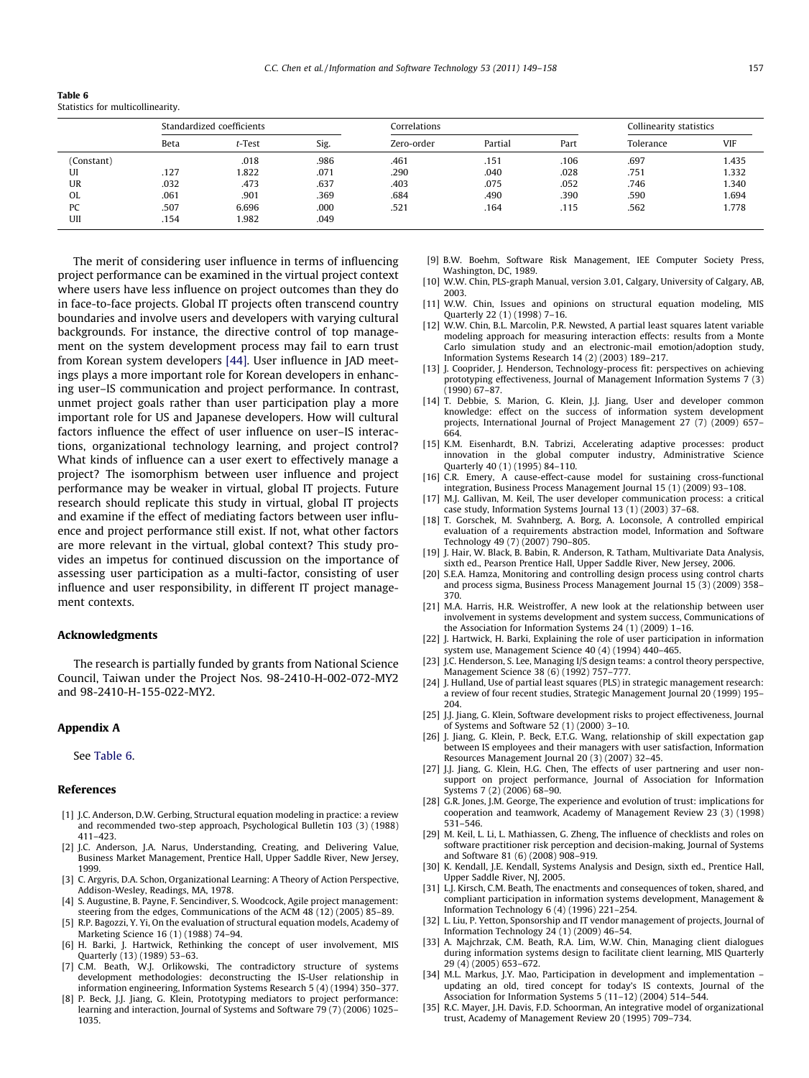<span id="page-8-0"></span>Table 6 Statistics for multicollinearity.

|            | Standardized coefficients |           | Correlations |            |         |      | Collinearity statistics |            |
|------------|---------------------------|-----------|--------------|------------|---------|------|-------------------------|------------|
|            | <b>Beta</b>               | $t$ -Test | Sig.         | Zero-order | Partial | Part | Tolerance               | <b>VIF</b> |
| (Constant) |                           | .018      | .986         | .461       | .151    | .106 | .697                    | 1.435      |
| UI         | .127                      | 1.822     | .071         | .290       | .040    | .028 | .751                    | 1.332      |
| UR         | .032                      | .473      | .637         | .403       | .075    | .052 | .746                    | 1.340      |
| <b>OL</b>  | .061                      | .901      | .369         | .684       | .490    | .390 | .590                    | 1.694      |
| PC         | .507                      | 6.696     | .000         | .521       | .164    | .115 | .562                    | 1.778      |
| UII        | .154                      | 1.982     | .049         |            |         |      |                         |            |

The merit of considering user influence in terms of influencing project performance can be examined in the virtual project context where users have less influence on project outcomes than they do in face-to-face projects. Global IT projects often transcend country boundaries and involve users and developers with varying cultural backgrounds. For instance, the directive control of top management on the system development process may fail to earn trust from Korean system developers [\[44\].](#page-9-0) User influence in JAD meetings plays a more important role for Korean developers in enhancing user–IS communication and project performance. In contrast, unmet project goals rather than user participation play a more important role for US and Japanese developers. How will cultural factors influence the effect of user influence on user–IS interactions, organizational technology learning, and project control? What kinds of influence can a user exert to effectively manage a project? The isomorphism between user influence and project performance may be weaker in virtual, global IT projects. Future research should replicate this study in virtual, global IT projects and examine if the effect of mediating factors between user influence and project performance still exist. If not, what other factors are more relevant in the virtual, global context? This study provides an impetus for continued discussion on the importance of assessing user participation as a multi-factor, consisting of user influence and user responsibility, in different IT project management contexts.

### Acknowledgments

The research is partially funded by grants from National Science Council, Taiwan under the Project Nos. 98-2410-H-002-072-MY2 and 98-2410-H-155-022-MY2.

#### Appendix A

#### See Table 6.

#### References

- [1] J.C. Anderson, D.W. Gerbing, Structural equation modeling in practice: a review and recommended two-step approach, Psychological Bulletin 103 (3) (1988) 411–423.
- [2] J.C. Anderson, J.A. Narus, Understanding, Creating, and Delivering Value, Business Market Management, Prentice Hall, Upper Saddle River, New Jersey, 1999.
- [3] C. Argyris, D.A. Schon, Organizational Learning: A Theory of Action Perspective, Addison-Wesley, Readings, MA, 1978.
- [4] S. Augustine, B. Payne, F. Sencindiver, S. Woodcock, Agile project management: steering from the edges, Communications of the ACM 48 (12) (2005) 85–89.
- [5] R.P. Bagozzi, Y. Yi, On the evaluation of structural equation models, Academy of Marketing Science 16 (1) (1988) 74–94.
- [6] H. Barki, J. Hartwick, Rethinking the concept of user involvement, MIS Quarterly (13) (1989) 53–63.
- [7] C.M. Beath, W.J. Orlikowski, The contradictory structure of systems development methodologies: deconstructing the IS-User relationship in information engineering, Information Systems Research 5 (4) (1994) 350–377.
- [8] P. Beck, J.J. Jiang, G. Klein, Prototyping mediators to project performance: learning and interaction, Journal of Systems and Software 79 (7) (2006) 1025– 1035.
- [9] B.W. Boehm, Software Risk Management, IEE Computer Society Press, Washington, DC, 1989.
- [10] W.W. Chin, PLS-graph Manual, version 3.01, Calgary, University of Calgary, AB, 2003.
- [11] W.W. Chin, Issues and opinions on structural equation modeling, MIS Quarterly 22 (1) (1998) 7–16.
- [12] W.W. Chin, B.L. Marcolin, P.R. Newsted, A partial least squares latent variable modeling approach for measuring interaction effects: results from a Monte Carlo simulation study and an electronic-mail emotion/adoption study, Information Systems Research 14 (2) (2003) 189–217.
- [13] J. Cooprider, J. Henderson, Technology-process fit: perspectives on achieving prototyping effectiveness, Journal of Management Information Systems 7 (3) (1990) 67–87.
- [14] T. Debbie, S. Marion, G. Klein, J.J. Jiang, User and developer common knowledge: effect on the success of information system development projects, International Journal of Project Management 27 (7) (2009) 657– 664.
- [15] K.M. Eisenhardt, B.N. Tabrizi, Accelerating adaptive processes: product innovation in the global computer industry, Administrative Science Quarterly 40 (1) (1995) 84–110.
- [16] C.R. Emery, A cause-effect-cause model for sustaining cross-functional integration, Business Process Management Journal 15 (1) (2009) 93–108.
- [17] M.J. Gallivan, M. Keil, The user developer communication process: a critical case study, Information Systems Journal 13 (1) (2003) 37–68.
- [18] T. Gorschek, M. Svahnberg, A. Borg, A. Loconsole, A controlled empirical evaluation of a requirements abstraction model, Information and Software Technology 49 (7) (2007) 790–805.
- [19] J. Hair, W. Black, B. Babin, R. Anderson, R. Tatham, Multivariate Data Analysis, sixth ed., Pearson Prentice Hall, Upper Saddle River, New Jersey, 2006.
- [20] S.E.A. Hamza, Monitoring and controlling design process using control charts and process sigma, Business Process Management Journal 15 (3) (2009) 358– 370.
- [21] M.A. Harris, H.R. Weistroffer, A new look at the relationship between user involvement in systems development and system success, Communications of the Association for Information Systems 24 (1) (2009) 1–16.
- [22] J. Hartwick, H. Barki, Explaining the role of user participation in information system use, Management Science 40 (4) (1994) 440–465.
- [23] J.C. Henderson, S. Lee, Managing I/S design teams: a control theory perspective, Management Science 38 (6) (1992) 757–777.
- [24] J. Hulland, Use of partial least squares (PLS) in strategic management research: a review of four recent studies, Strategic Management Journal 20 (1999) 195– 204.
- [25] J.J. Jiang, G. Klein, Software development risks to project effectiveness, Journal of Systems and Software 52 (1) (2000) 3–10.
- [26] J. Jiang, G. Klein, P. Beck, E.T.G. Wang, relationship of skill expectation gap between IS employees and their managers with user satisfaction, Information Resources Management Journal 20 (3) (2007) 32–45.
- [27] J.J. Jiang, G. Klein, H.G. Chen, The effects of user partnering and user nonsupport on project performance, Journal of Association for Information Systems 7 (2) (2006) 68–90.
- [28] G.R. Jones, J.M. George, The experience and evolution of trust: implications for cooperation and teamwork, Academy of Management Review 23 (3) (1998) 531–546.
- [29] M. Keil, L. Li, L. Mathiassen, G. Zheng, The influence of checklists and roles on software practitioner risk perception and decision-making, Journal of Systems and Software 81 (6) (2008) 908–919.
- [30] K. Kendall, J.E. Kendall, Systems Analysis and Design, sixth ed., Prentice Hall, Upper Saddle River, NJ, 2005.
- [31] L.J. Kirsch, C.M. Beath, The enactments and consequences of token, shared, and compliant participation in information systems development, Management & Information Technology 6 (4) (1996) 221–254.
- [32] L. Liu, P. Yetton, Sponsorship and IT vendor management of projects, Journal of Information Technology 24 (1) (2009) 46–54.
- [33] A. Majchrzak, C.M. Beath, R.A. Lim, W.W. Chin, Managing client dialogues during information systems design to facilitate client learning, MIS Quarterly 29 (4) (2005) 653–672.
- [34] M.L. Markus, J.Y. Mao, Participation in development and implementation updating an old, tired concept for today's IS contexts, Journal of the Association for Information Systems 5 (11–12) (2004) 514–544.
- [35] R.C. Mayer, J.H. Davis, F.D. Schoorman, An integrative model of organizational trust, Academy of Management Review 20 (1995) 709–734.